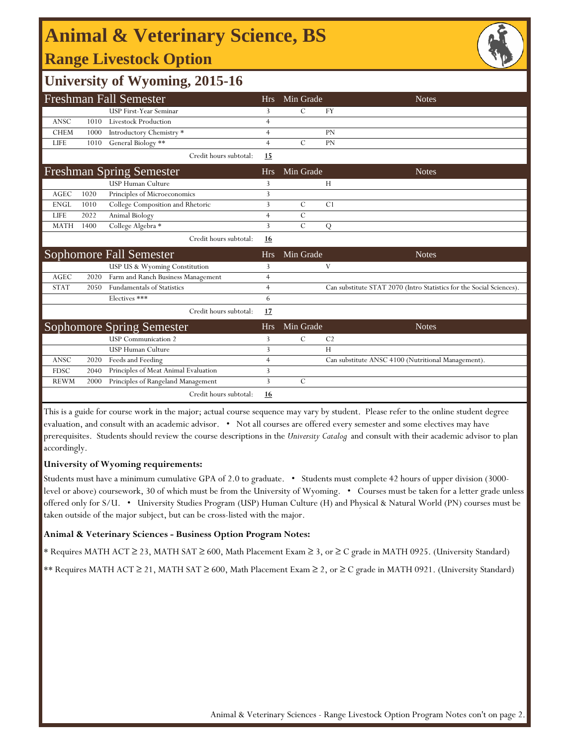# **Animal & Veterinary Science, BS**

### **Range Livestock Option**



### **University of Wyoming, 2015-16**

| <b>Freshman Fall Semester</b>   |      |                                      |                | Min Grade                 | <b>Notes</b>                                                         |
|---------------------------------|------|--------------------------------------|----------------|---------------------------|----------------------------------------------------------------------|
|                                 |      | <b>USP First-Year Seminar</b>        | 3              | С                         | FY                                                                   |
| <b>ANSC</b>                     | 1010 | <b>Livestock Production</b>          | $\overline{4}$ |                           |                                                                      |
| <b>CHEM</b>                     | 1000 | Introductory Chemistry *             | $\overline{4}$ |                           | <b>PN</b>                                                            |
| LIFE                            | 1010 | General Biology **                   | $\overline{4}$ | $\mathcal{C}$             | PN                                                                   |
|                                 |      | Credit hours subtotal:               | 15             |                           |                                                                      |
| <b>Freshman Spring Semester</b> |      |                                      | <b>Hrs</b>     | Min Grade<br><b>Notes</b> |                                                                      |
|                                 |      | <b>USP Human Culture</b>             | 3              |                           | H                                                                    |
| <b>AGEC</b>                     | 1020 | Principles of Microeconomics         | 3              |                           |                                                                      |
| <b>ENGL</b>                     | 1010 | College Composition and Rhetoric     | 3              | С                         | C <sub>1</sub>                                                       |
| <b>LIFE</b>                     | 2022 | Animal Biology                       | $\overline{4}$ | $\overline{C}$            |                                                                      |
| <b>MATH</b>                     | 1400 | College Algebra *                    | 3              | $\mathcal{C}$             | Q                                                                    |
|                                 |      | Credit hours subtotal:               | 16             |                           |                                                                      |
|                                 |      |                                      |                |                           |                                                                      |
|                                 |      | <b>Sophomore Fall Semester</b>       | <b>Hrs</b>     | Min Grade                 | <b>Notes</b>                                                         |
|                                 |      | USP US & Wyoming Constitution        | 3              |                           | V                                                                    |
| <b>AGEC</b>                     | 2020 | Farm and Ranch Business Management   | $\overline{4}$ |                           |                                                                      |
| <b>STAT</b>                     | 2050 | <b>Fundamentals of Statistics</b>    | $\overline{4}$ |                           | Can substitute STAT 2070 (Intro Statistics for the Social Sciences). |
|                                 |      | Electives ***                        | 6              |                           |                                                                      |
|                                 |      | Credit hours subtotal:               | 17             |                           |                                                                      |
|                                 |      | <b>Sophomore Spring Semester</b>     | <b>Hrs</b>     | Min Grade                 | <b>Notes</b>                                                         |
|                                 |      | <b>USP</b> Communication 2           | 3              | $\mathcal{C}$             | C <sub>2</sub>                                                       |
|                                 |      | <b>USP Human Culture</b>             | 3              |                           | H                                                                    |
| <b>ANSC</b>                     | 2020 | Feeds and Feeding                    | $\overline{4}$ |                           | Can substitute ANSC 4100 (Nutritional Management).                   |
| <b>FDSC</b>                     | 2040 | Principles of Meat Animal Evaluation | 3              |                           |                                                                      |
| <b>REWM</b>                     | 2000 | Principles of Rangeland Management   | 3              | C                         |                                                                      |

This is a guide for course work in the major; actual course sequence may vary by student. Please refer to the online student degree evaluation, and consult with an academic advisor. • Not all courses are offered every semester and some electives may have prerequisites. Students should review the course descriptions in the *University Catalog* and consult with their academic advisor to plan accordingly.

#### **University of Wyoming requirements:**

Students must have a minimum cumulative GPA of 2.0 to graduate. • Students must complete 42 hours of upper division (3000 level or above) coursework, 30 of which must be from the University of Wyoming. • Courses must be taken for a letter grade unless offered only for S/U. • University Studies Program (USP) Human Culture (H) and Physical & Natural World (PN) courses must be taken outside of the major subject, but can be cross-listed with the major.

#### **Animal & Veterinary Sciences - Business Option Program Notes:**

\* Requires MATH ACT ≥ 23, MATH SAT ≥ 600, Math Placement Exam ≥ 3, or ≥ C grade in MATH 0925. (University Standard)

\*\* Requires MATH ACT ≥ 21, MATH SAT ≥ 600, Math Placement Exam ≥ 2, or ≥ C grade in MATH 0921. (University Standard)